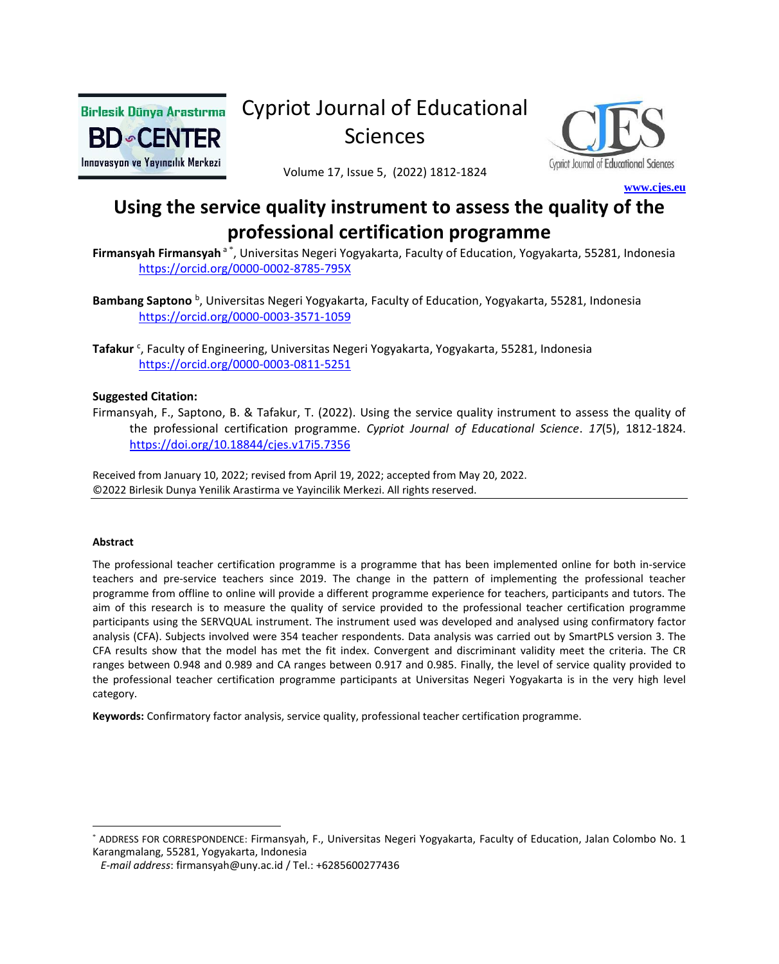

Cypriot Journal of Educational Sciences



Volume 17, Issue 5, (2022) 1812-1824

 **[www.cjes.eu](http://www.cjes.eu/)**

# **Using the service quality instrument to assess the quality of the professional certification programme**

**Firmansyah Firmansyah** <sup>a</sup>\* , Universitas Negeri Yogyakarta, Faculty of Education, Yogyakarta, 55281, Indonesia <https://orcid.org/0000-0002-8785-795X>

Bambang Saptono <sup>b</sup>, Universitas Negeri Yogyakarta, Faculty of Education, Yogyakarta, 55281, Indonesia <https://orcid.org/0000-0003-3571-1059>

Tafakur <sup>c</sup>, Faculty of Engineering, Universitas Negeri Yogyakarta, Yogyakarta, 55281, Indonesia [https://orcid.org/0](https://orcid.org/0000-0002-7147-5180)000-0003-0811-5251

#### **Suggested Citation:**

Firmansyah, F., Saptono, B. & Tafakur, T. (2022). Using the service quality instrument to assess the quality of the professional certification programme. *Cypriot Journal of Educational Science*. *17*(5), 1812-1824. <https://doi.org/10.18844/cjes.v17i5.7356>

Received from January 10, 2022; revised from April 19, 2022; accepted from May 20, 2022. ©2022 Birlesik Dunya Yenilik Arastirma ve Yayincilik Merkezi. All rights reserved.

#### **Abstract**

The professional teacher certification programme is a programme that has been implemented online for both in-service teachers and pre-service teachers since 2019. The change in the pattern of implementing the professional teacher programme from offline to online will provide a different programme experience for teachers, participants and tutors. The aim of this research is to measure the quality of service provided to the professional teacher certification programme participants using the SERVQUAL instrument. The instrument used was developed and analysed using confirmatory factor analysis (CFA). Subjects involved were 354 teacher respondents. Data analysis was carried out by SmartPLS version 3. The CFA results show that the model has met the fit index. Convergent and discriminant validity meet the criteria. The CR ranges between 0.948 and 0.989 and CA ranges between 0.917 and 0.985. Finally, the level of service quality provided to the professional teacher certification programme participants at Universitas Negeri Yogyakarta is in the very high level category.

**Keywords:** Confirmatory factor analysis, service quality, professional teacher certification programme.

<sup>\*</sup> ADDRESS FOR CORRESPONDENCE: Firmansyah, F., Universitas Negeri Yogyakarta, Faculty of Education, Jalan Colombo No. 1 Karangmalang, 55281, Yogyakarta, Indonesia

*E-mail address*: firmansyah@uny.ac.id / Tel.: +6285600277436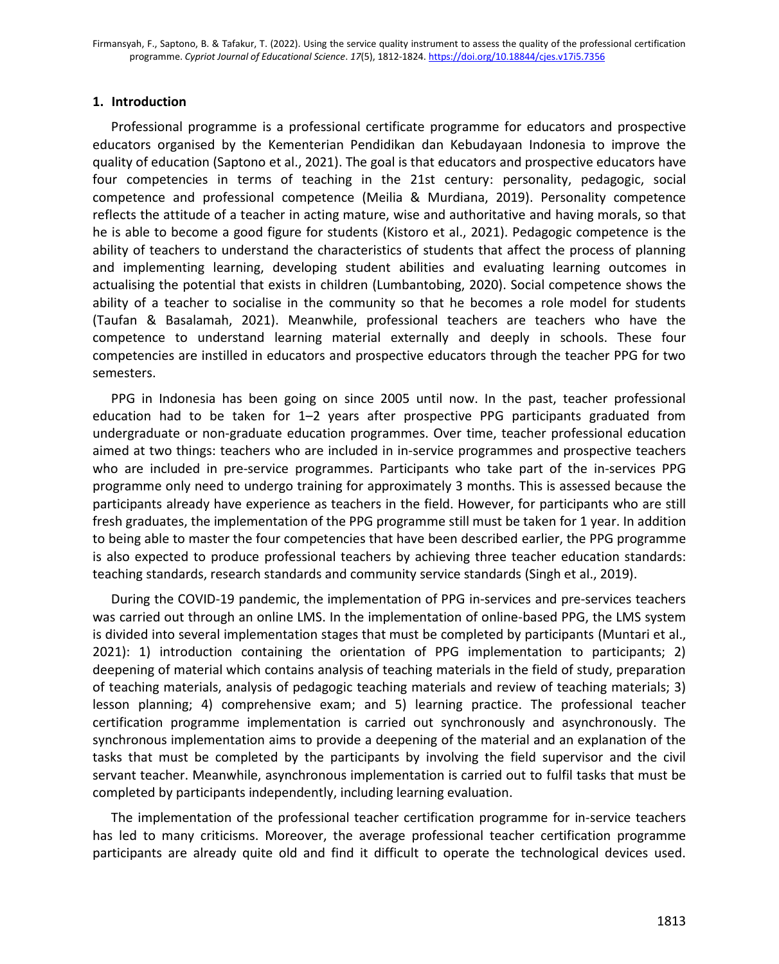#### **1. Introduction**

Professional programme is a professional certificate programme for educators and prospective educators organised by the Kementerian Pendidikan dan Kebudayaan Indonesia to improve the quality of education (Saptono et al., 2021). The goal is that educators and prospective educators have four competencies in terms of teaching in the 21st century: personality, pedagogic, social competence and professional competence (Meilia & Murdiana, 2019). Personality competence reflects the attitude of a teacher in acting mature, wise and authoritative and having morals, so that he is able to become a good figure for students (Kistoro et al., 2021). Pedagogic competence is the ability of teachers to understand the characteristics of students that affect the process of planning and implementing learning, developing student abilities and evaluating learning outcomes in actualising the potential that exists in children (Lumbantobing, 2020). Social competence shows the ability of a teacher to socialise in the community so that he becomes a role model for students (Taufan & Basalamah, 2021). Meanwhile, professional teachers are teachers who have the competence to understand learning material externally and deeply in schools. These four competencies are instilled in educators and prospective educators through the teacher PPG for two semesters.

PPG in Indonesia has been going on since 2005 until now. In the past, teacher professional education had to be taken for 1–2 years after prospective PPG participants graduated from undergraduate or non-graduate education programmes. Over time, teacher professional education aimed at two things: teachers who are included in in-service programmes and prospective teachers who are included in pre-service programmes. Participants who take part of the in-services PPG programme only need to undergo training for approximately 3 months. This is assessed because the participants already have experience as teachers in the field. However, for participants who are still fresh graduates, the implementation of the PPG programme still must be taken for 1 year. In addition to being able to master the four competencies that have been described earlier, the PPG programme is also expected to produce professional teachers by achieving three teacher education standards: teaching standards, research standards and community service standards (Singh et al., 2019).

During the COVID-19 pandemic, the implementation of PPG in-services and pre-services teachers was carried out through an online LMS. In the implementation of online-based PPG, the LMS system is divided into several implementation stages that must be completed by participants (Muntari et al., 2021): 1) introduction containing the orientation of PPG implementation to participants; 2) deepening of material which contains analysis of teaching materials in the field of study, preparation of teaching materials, analysis of pedagogic teaching materials and review of teaching materials; 3) lesson planning; 4) comprehensive exam; and 5) learning practice. The professional teacher certification programme implementation is carried out synchronously and asynchronously. The synchronous implementation aims to provide a deepening of the material and an explanation of the tasks that must be completed by the participants by involving the field supervisor and the civil servant teacher. Meanwhile, asynchronous implementation is carried out to fulfil tasks that must be completed by participants independently, including learning evaluation.

The implementation of the professional teacher certification programme for in-service teachers has led to many criticisms. Moreover, the average professional teacher certification programme participants are already quite old and find it difficult to operate the technological devices used.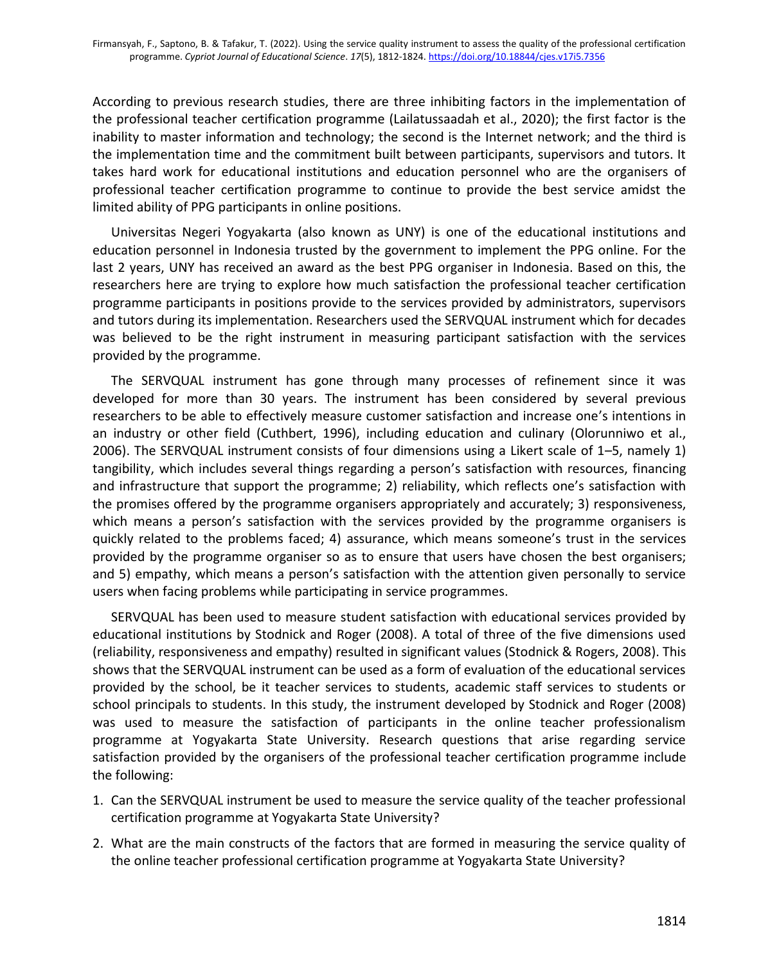According to previous research studies, there are three inhibiting factors in the implementation of the professional teacher certification programme (Lailatussaadah et al., 2020); the first factor is the inability to master information and technology; the second is the Internet network; and the third is the implementation time and the commitment built between participants, supervisors and tutors. It takes hard work for educational institutions and education personnel who are the organisers of professional teacher certification programme to continue to provide the best service amidst the limited ability of PPG participants in online positions.

Universitas Negeri Yogyakarta (also known as UNY) is one of the educational institutions and education personnel in Indonesia trusted by the government to implement the PPG online. For the last 2 years, UNY has received an award as the best PPG organiser in Indonesia. Based on this, the researchers here are trying to explore how much satisfaction the professional teacher certification programme participants in positions provide to the services provided by administrators, supervisors and tutors during its implementation. Researchers used the SERVQUAL instrument which for decades was believed to be the right instrument in measuring participant satisfaction with the services provided by the programme.

The SERVQUAL instrument has gone through many processes of refinement since it was developed for more than 30 years. The instrument has been considered by several previous researchers to be able to effectively measure customer satisfaction and increase one's intentions in an industry or other field (Cuthbert, 1996), including education and culinary (Olorunniwo et al., 2006). The SERVQUAL instrument consists of four dimensions using a Likert scale of 1–5, namely 1) tangibility, which includes several things regarding a person's satisfaction with resources, financing and infrastructure that support the programme; 2) reliability, which reflects one's satisfaction with the promises offered by the programme organisers appropriately and accurately; 3) responsiveness, which means a person's satisfaction with the services provided by the programme organisers is quickly related to the problems faced; 4) assurance, which means someone's trust in the services provided by the programme organiser so as to ensure that users have chosen the best organisers; and 5) empathy, which means a person's satisfaction with the attention given personally to service users when facing problems while participating in service programmes.

SERVQUAL has been used to measure student satisfaction with educational services provided by educational institutions by Stodnick and Roger (2008). A total of three of the five dimensions used (reliability, responsiveness and empathy) resulted in significant values (Stodnick & Rogers, 2008). This shows that the SERVQUAL instrument can be used as a form of evaluation of the educational services provided by the school, be it teacher services to students, academic staff services to students or school principals to students. In this study, the instrument developed by Stodnick and Roger (2008) was used to measure the satisfaction of participants in the online teacher professionalism programme at Yogyakarta State University. Research questions that arise regarding service satisfaction provided by the organisers of the professional teacher certification programme include the following:

- 1. Can the SERVQUAL instrument be used to measure the service quality of the teacher professional certification programme at Yogyakarta State University?
- 2. What are the main constructs of the factors that are formed in measuring the service quality of the online teacher professional certification programme at Yogyakarta State University?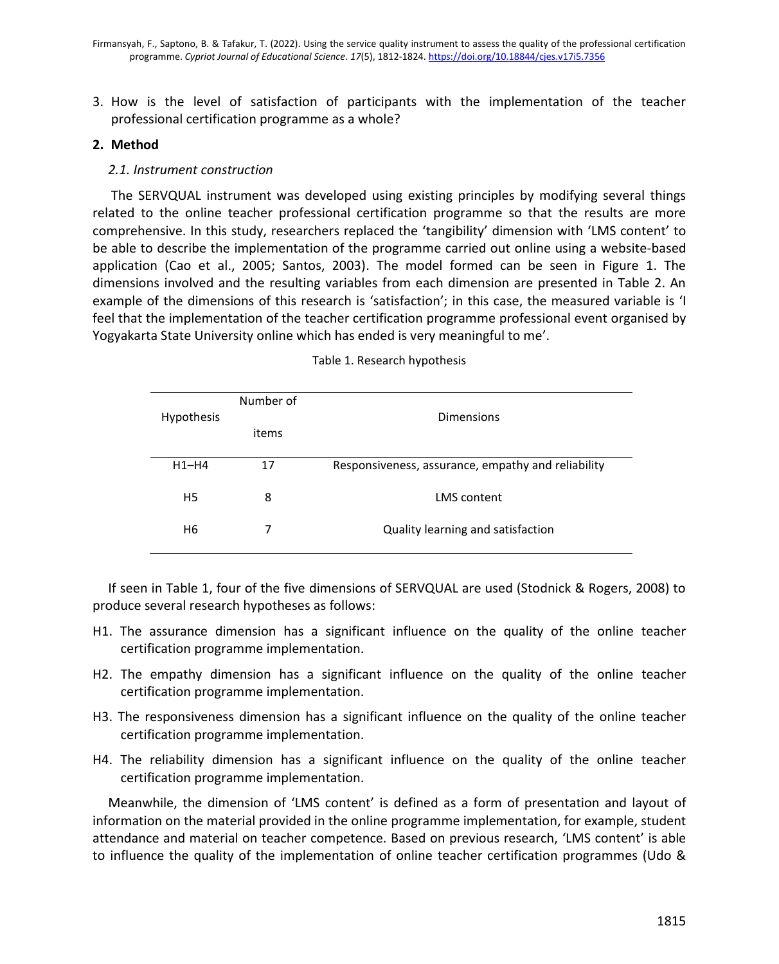3. How is the level of satisfaction of participants with the implementation of the teacher professional certification programme as a whole?

### **2. Method**

#### *2.1. Instrument construction*

The SERVQUAL instrument was developed using existing principles by modifying several things related to the online teacher professional certification programme so that the results are more comprehensive. In this study, researchers replaced the 'tangibility' dimension with 'LMS content' to be able to describe the implementation of the programme carried out online using a website-based application (Cao et al., 2005; Santos, 2003). The model formed can be seen in Figure 1. The dimensions involved and the resulting variables from each dimension are presented in Table 2. An example of the dimensions of this research is 'satisfaction'; in this case, the measured variable is 'I feel that the implementation of the teacher certification programme professional event organised by Yogyakarta State University online which has ended is very meaningful to me'.

| Hypothesis | Number of | Dimensions                                         |  |  |  |  |  |
|------------|-----------|----------------------------------------------------|--|--|--|--|--|
|            | items     |                                                    |  |  |  |  |  |
| $H1-H4$    | 17        | Responsiveness, assurance, empathy and reliability |  |  |  |  |  |
| H5         | 8         | <b>LMS</b> content                                 |  |  |  |  |  |
| H6         |           | Quality learning and satisfaction                  |  |  |  |  |  |

#### Table 1. Research hypothesis

If seen in Table 1, four of the five dimensions of SERVQUAL are used (Stodnick & Rogers, 2008) to produce several research hypotheses as follows:

- H1. The assurance dimension has a significant influence on the quality of the online teacher certification programme implementation.
- H2. The empathy dimension has a significant influence on the quality of the online teacher certification programme implementation.
- H3. The responsiveness dimension has a significant influence on the quality of the online teacher certification programme implementation.
- H4. The reliability dimension has a significant influence on the quality of the online teacher certification programme implementation.

Meanwhile, the dimension of 'LMS content' is defined as a form of presentation and layout of information on the material provided in the online programme implementation, for example, student attendance and material on teacher competence. Based on previous research, 'LMS content' is able to influence the quality of the implementation of online teacher certification programmes (Udo &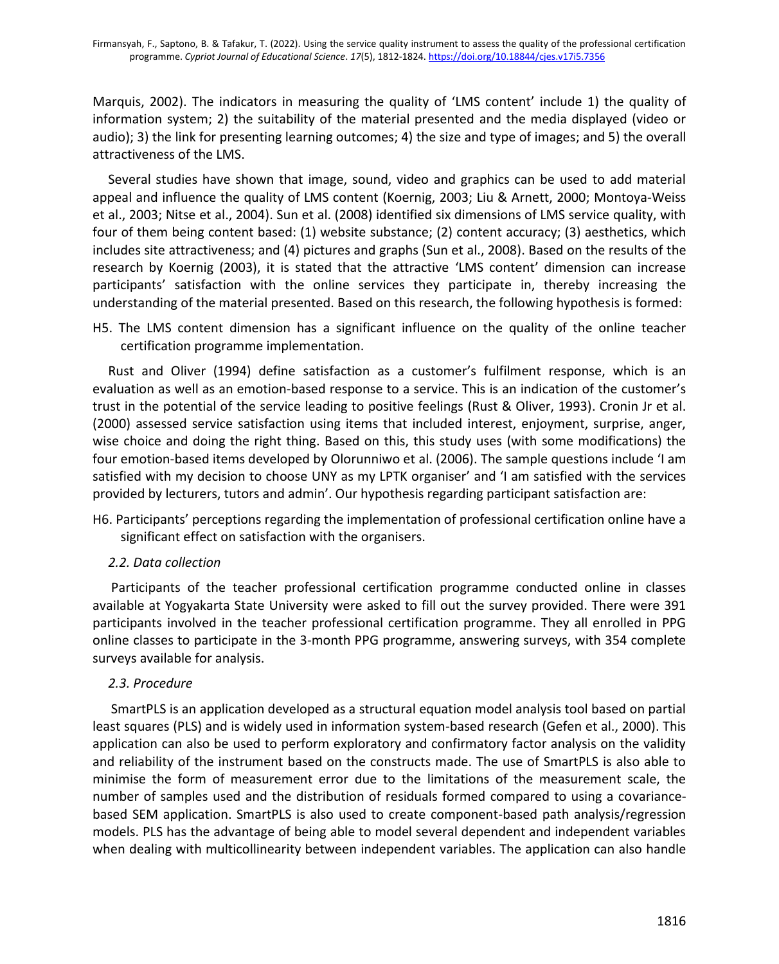Marquis, 2002). The indicators in measuring the quality of 'LMS content' include 1) the quality of information system; 2) the suitability of the material presented and the media displayed (video or audio); 3) the link for presenting learning outcomes; 4) the size and type of images; and 5) the overall attractiveness of the LMS.

Several studies have shown that image, sound, video and graphics can be used to add material appeal and influence the quality of LMS content (Koernig, 2003; Liu & Arnett, 2000; Montoya-Weiss et al., 2003; Nitse et al., 2004). Sun et al. (2008) identified six dimensions of LMS service quality, with four of them being content based: (1) website substance; (2) content accuracy; (3) aesthetics, which includes site attractiveness; and (4) pictures and graphs (Sun et al., 2008). Based on the results of the research by Koernig (2003), it is stated that the attractive 'LMS content' dimension can increase participants' satisfaction with the online services they participate in, thereby increasing the understanding of the material presented. Based on this research, the following hypothesis is formed:

H5. The LMS content dimension has a significant influence on the quality of the online teacher certification programme implementation.

Rust and Oliver (1994) define satisfaction as a customer's fulfilment response, which is an evaluation as well as an emotion-based response to a service. This is an indication of the customer's trust in the potential of the service leading to positive feelings (Rust & Oliver, 1993). Cronin Jr et al. (2000) assessed service satisfaction using items that included interest, enjoyment, surprise, anger, wise choice and doing the right thing. Based on this, this study uses (with some modifications) the four emotion-based items developed by Olorunniwo et al. (2006). The sample questions include 'I am satisfied with my decision to choose UNY as my LPTK organiser' and 'I am satisfied with the services provided by lecturers, tutors and admin'. Our hypothesis regarding participant satisfaction are:

H6. Participants' perceptions regarding the implementation of professional certification online have a significant effect on satisfaction with the organisers.

# *2.2. Data collection*

Participants of the teacher professional certification programme conducted online in classes available at Yogyakarta State University were asked to fill out the survey provided. There were 391 participants involved in the teacher professional certification programme. They all enrolled in PPG online classes to participate in the 3-month PPG programme, answering surveys, with 354 complete surveys available for analysis.

#### *2.3. Procedure*

SmartPLS is an application developed as a structural equation model analysis tool based on partial least squares (PLS) and is widely used in information system-based research (Gefen et al., 2000). This application can also be used to perform exploratory and confirmatory factor analysis on the validity and reliability of the instrument based on the constructs made. The use of SmartPLS is also able to minimise the form of measurement error due to the limitations of the measurement scale, the number of samples used and the distribution of residuals formed compared to using a covariancebased SEM application. SmartPLS is also used to create component-based path analysis/regression models. PLS has the advantage of being able to model several dependent and independent variables when dealing with multicollinearity between independent variables. The application can also handle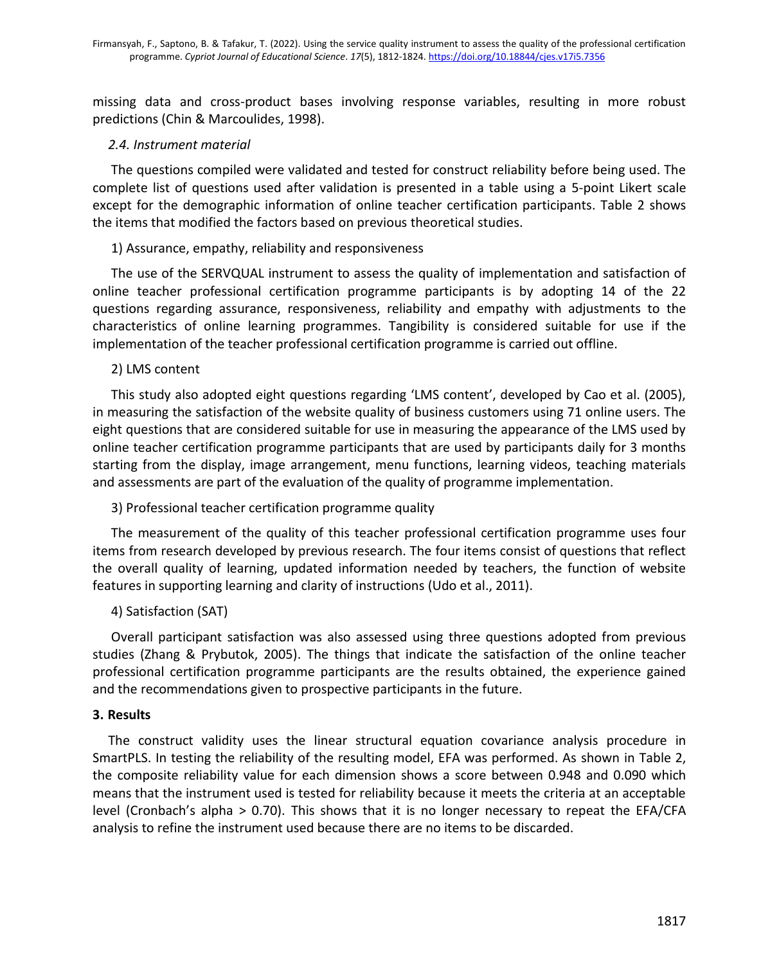missing data and cross-product bases involving response variables, resulting in more robust predictions (Chin & Marcoulides, 1998).

### *2.4. Instrument material*

The questions compiled were validated and tested for construct reliability before being used. The complete list of questions used after validation is presented in a table using a 5-point Likert scale except for the demographic information of online teacher certification participants. Table 2 shows the items that modified the factors based on previous theoretical studies.

### 1) Assurance, empathy, reliability and responsiveness

The use of the SERVQUAL instrument to assess the quality of implementation and satisfaction of online teacher professional certification programme participants is by adopting 14 of the 22 questions regarding assurance, responsiveness, reliability and empathy with adjustments to the characteristics of online learning programmes. Tangibility is considered suitable for use if the implementation of the teacher professional certification programme is carried out offline.

### 2) LMS content

This study also adopted eight questions regarding 'LMS content', developed by Cao et al. (2005), in measuring the satisfaction of the website quality of business customers using 71 online users. The eight questions that are considered suitable for use in measuring the appearance of the LMS used by online teacher certification programme participants that are used by participants daily for 3 months starting from the display, image arrangement, menu functions, learning videos, teaching materials and assessments are part of the evaluation of the quality of programme implementation.

# 3) Professional teacher certification programme quality

The measurement of the quality of this teacher professional certification programme uses four items from research developed by previous research. The four items consist of questions that reflect the overall quality of learning, updated information needed by teachers, the function of website features in supporting learning and clarity of instructions (Udo et al., 2011).

# 4) Satisfaction (SAT)

Overall participant satisfaction was also assessed using three questions adopted from previous studies (Zhang & Prybutok, 2005). The things that indicate the satisfaction of the online teacher professional certification programme participants are the results obtained, the experience gained and the recommendations given to prospective participants in the future.

#### **3. Results**

The construct validity uses the linear structural equation covariance analysis procedure in SmartPLS. In testing the reliability of the resulting model, EFA was performed. As shown in Table 2, the composite reliability value for each dimension shows a score between 0.948 and 0.090 which means that the instrument used is tested for reliability because it meets the criteria at an acceptable level (Cronbach's alpha > 0.70). This shows that it is no longer necessary to repeat the EFA/CFA analysis to refine the instrument used because there are no items to be discarded.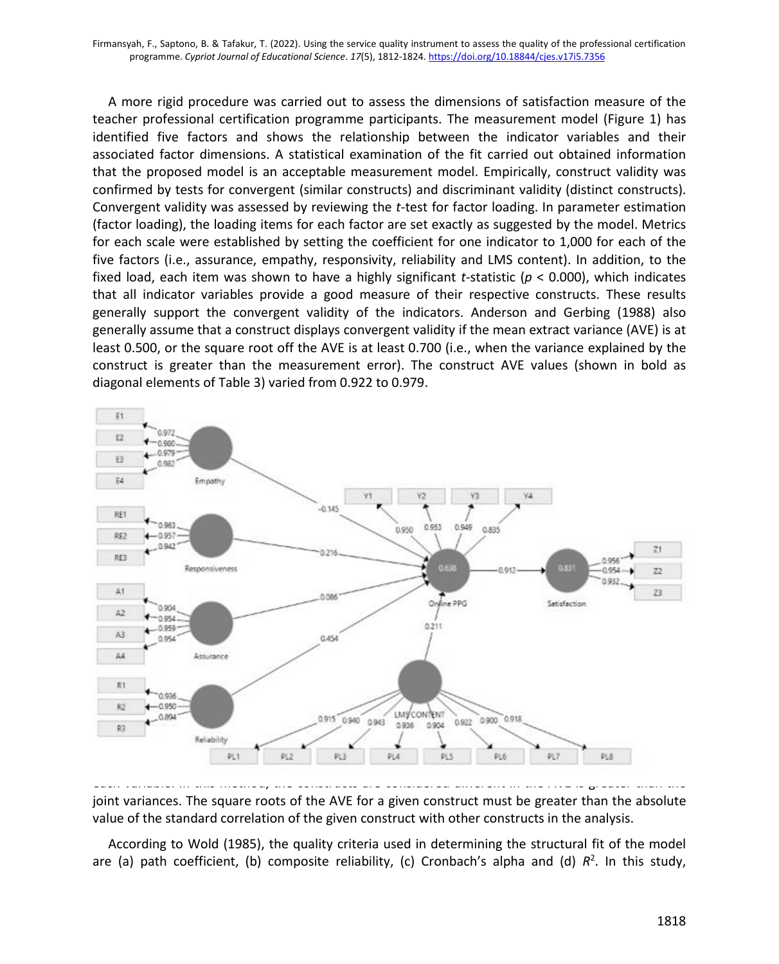A more rigid procedure was carried out to assess the dimensions of satisfaction measure of the teacher professional certification programme participants. The measurement model (Figure 1) has identified five factors and shows the relationship between the indicator variables and their associated factor dimensions. A statistical examination of the fit carried out obtained information that the proposed model is an acceptable measurement model. Empirically, construct validity was confirmed by tests for convergent (similar constructs) and discriminant validity (distinct constructs). Convergent validity was assessed by reviewing the *t*-test for factor loading. In parameter estimation (factor loading), the loading items for each factor are set exactly as suggested by the model. Metrics for each scale were established by setting the coefficient for one indicator to 1,000 for each of the five factors (i.e., assurance, empathy, responsivity, reliability and LMS content). In addition, to the fixed load, each item was shown to have a highly significant *t*-statistic (*p* < 0.000), which indicates that all indicator variables provide a good measure of their respective constructs. These results generally support the convergent validity of the indicators. Anderson and Gerbing (1988) also generally assume that a construct displays convergent validity if the mean extract variance (AVE) is at least 0.500, or the square root off the AVE is at least 0.700 (i.e., when the variance explained by the construct is greater than the measurement error). The construct AVE values (shown in bold as diagonal elements of Table 3) varied from 0.922 to 0.979.



each variable. In this method, the constructs are considered different in the AVE is greater than the joint variances. The square roots of the AVE for a given construct must be greater than the absolute value of the standard correlation of the given construct with other constructs in the analysis.

According to Wold (1985), the quality criteria used in determining the structural fit of the model are (a) path coefficient, (b) composite reliability, (c) Cronbach's alpha and (d)  $R^2$ . In this study,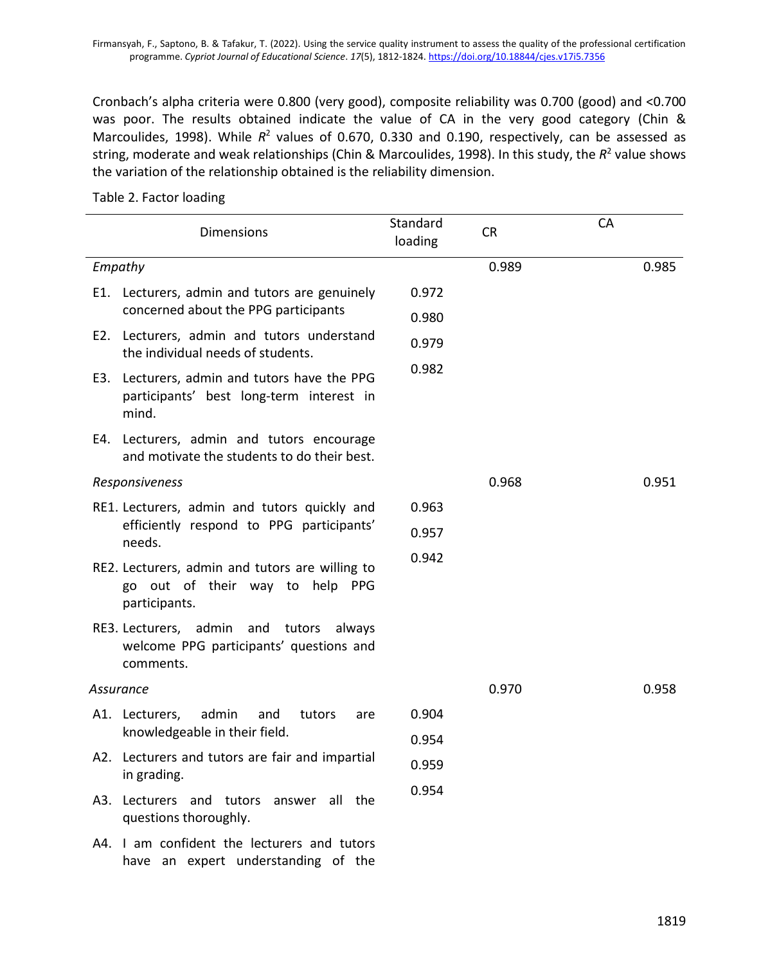Cronbach's alpha criteria were 0.800 (very good), composite reliability was 0.700 (good) and <0.700 was poor. The results obtained indicate the value of CA in the very good category (Chin & Marcoulides, 1998). While R<sup>2</sup> values of 0.670, 0.330 and 0.190, respectively, can be assessed as string, moderate and weak relationships (Chin & Marcoulides, 1998). In this study, the *R*<sup>2</sup> value shows the variation of the relationship obtained is the reliability dimension.

Table 2. Factor loading

|     | Dimensions                                                                                               | Standard<br>loading | <b>CR</b> | CA    |
|-----|----------------------------------------------------------------------------------------------------------|---------------------|-----------|-------|
|     | Empathy                                                                                                  |                     | 0.989     | 0.985 |
|     | E1. Lecturers, admin and tutors are genuinely                                                            | 0.972               |           |       |
|     | concerned about the PPG participants                                                                     | 0.980               |           |       |
| E2. | Lecturers, admin and tutors understand<br>the individual needs of students.                              | 0.979               |           |       |
| E3. | Lecturers, admin and tutors have the PPG<br>participants' best long-term interest in<br>mind.            | 0.982               |           |       |
|     | E4. Lecturers, admin and tutors encourage<br>and motivate the students to do their best.                 |                     |           |       |
|     | Responsiveness                                                                                           |                     | 0.968     | 0.951 |
|     | RE1. Lecturers, admin and tutors quickly and                                                             | 0.963               |           |       |
|     | efficiently respond to PPG participants'<br>needs.                                                       | 0.957               |           |       |
|     | RE2. Lecturers, admin and tutors are willing to<br>go out of their way to help PPG<br>participants.      | 0.942               |           |       |
|     | RE3. Lecturers, admin<br>and<br>tutors<br>always<br>welcome PPG participants' questions and<br>comments. |                     |           |       |
|     | Assurance                                                                                                |                     | 0.970     | 0.958 |
|     | admin<br>A1. Lecturers,<br>and<br>tutors<br>are                                                          | 0.904               |           |       |
|     | knowledgeable in their field.                                                                            | 0.954               |           |       |
|     | A2. Lecturers and tutors are fair and impartial<br>in grading.                                           | 0.959               |           |       |
|     | A3. Lecturers and tutors<br>answer all the<br>questions thoroughly.                                      | 0.954               |           |       |
|     | A4. I am confident the lecturers and tutors<br>have an expert understanding of the                       |                     |           |       |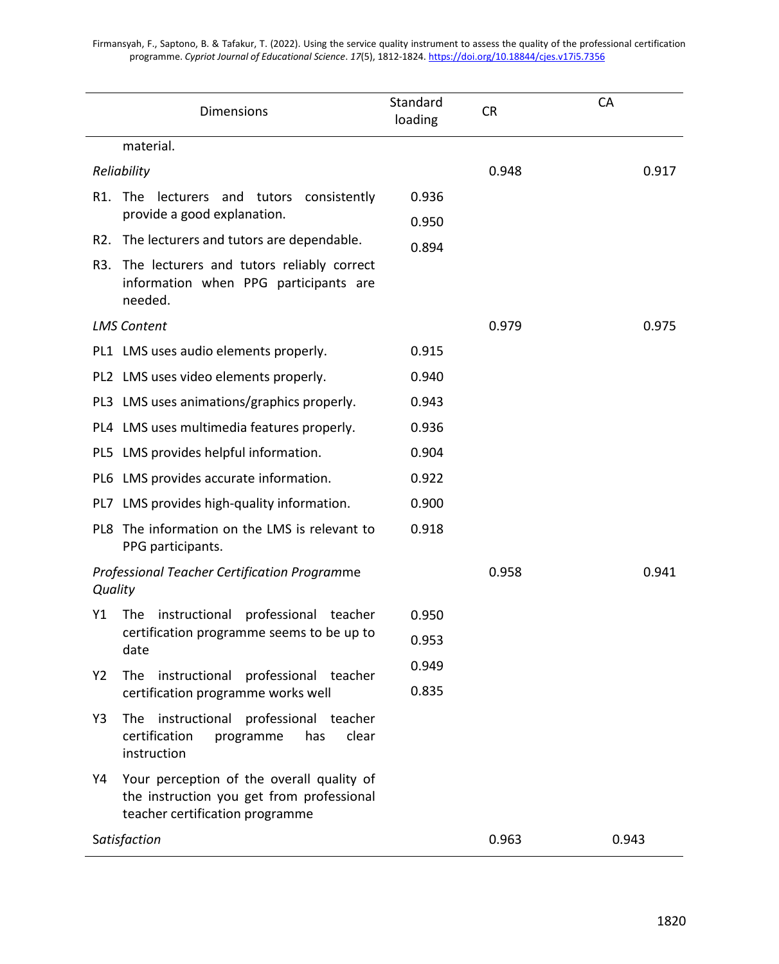| Dimensions                                                                                                                      | Standard<br>loading | <b>CR</b> | CA    |
|---------------------------------------------------------------------------------------------------------------------------------|---------------------|-----------|-------|
| material.                                                                                                                       |                     |           |       |
| Reliability                                                                                                                     |                     | 0.948     | 0.917 |
| R1. The<br>lecturers and tutors<br>consistently<br>provide a good explanation.                                                  | 0.936<br>0.950      |           |       |
| R2. The lecturers and tutors are dependable.                                                                                    | 0.894               |           |       |
| The lecturers and tutors reliably correct<br>R3.<br>information when PPG participants are<br>needed.                            |                     |           |       |
| <b>LMS Content</b>                                                                                                              |                     | 0.979     | 0.975 |
| PL1 LMS uses audio elements properly.                                                                                           | 0.915               |           |       |
| PL2 LMS uses video elements properly.                                                                                           | 0.940               |           |       |
| PL3 LMS uses animations/graphics properly.                                                                                      | 0.943               |           |       |
| PL4 LMS uses multimedia features properly.                                                                                      | 0.936               |           |       |
| PL5 LMS provides helpful information.                                                                                           | 0.904               |           |       |
| PL6 LMS provides accurate information.                                                                                          | 0.922               |           |       |
| PL7 LMS provides high-quality information.                                                                                      | 0.900               |           |       |
| PL8 The information on the LMS is relevant to<br>PPG participants.                                                              | 0.918               |           |       |
| Professional Teacher Certification Programme<br>Quality                                                                         |                     | 0.958     | 0.941 |
| Υ1<br>instructional<br>professional teacher<br>The                                                                              | 0.950               |           |       |
| certification programme seems to be up to<br>date                                                                               | 0.953               |           |       |
| instructional professional teacher<br>Υ2<br>The                                                                                 | 0.949               |           |       |
| certification programme works well                                                                                              | 0.835               |           |       |
| The instructional professional teacher<br>Y3<br>certification<br>clear<br>programme<br>has<br>instruction                       |                     |           |       |
| Your perception of the overall quality of<br>Υ4<br>the instruction you get from professional<br>teacher certification programme |                     |           |       |
| Satisfaction                                                                                                                    |                     | 0.963     | 0.943 |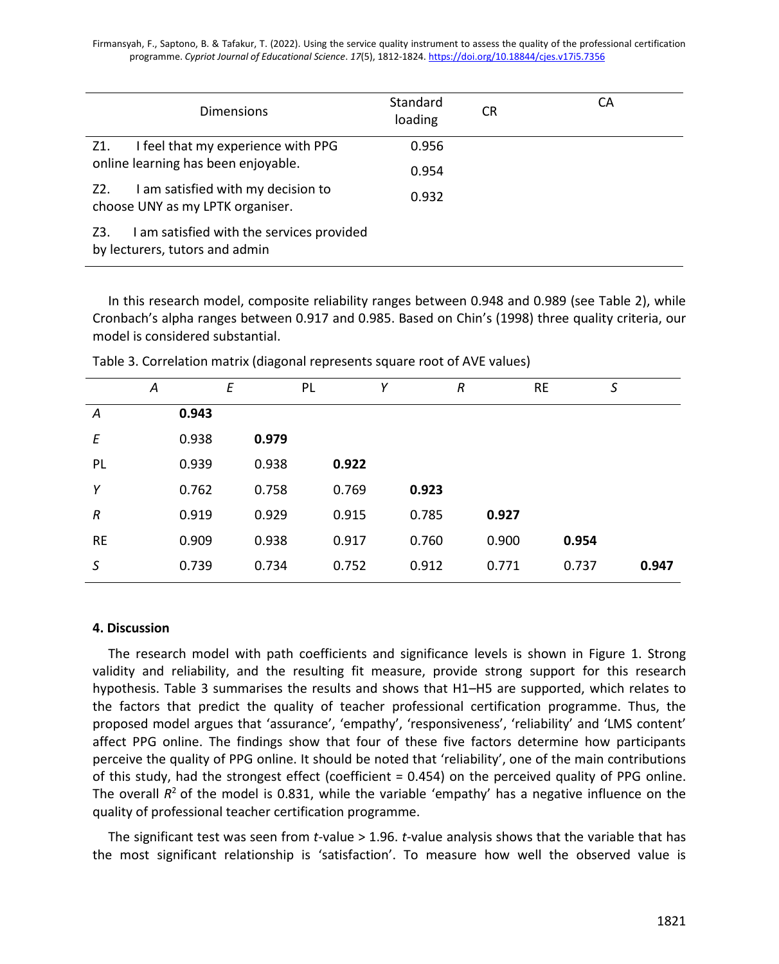Firmansyah, F., Saptono, B. & Tafakur, T. (2022). Using the service quality instrument to assess the quality of the professional certification programme. *Cypriot Journal of Educational Science*. *17*(5), 1812-1824[. https://doi.org/10.18844/cjes.v17i5.7356](https://doi.org/10.18844/cjes.v17i5.7356)

| <b>Dimensions</b>                                                                  | Standard<br>loading | CR | CА |
|------------------------------------------------------------------------------------|---------------------|----|----|
| I feel that my experience with PPG<br>Z1.                                          | 0.956               |    |    |
| online learning has been enjoyable.                                                | 0.954               |    |    |
| I am satisfied with my decision to<br>Z2.<br>choose UNY as my LPTK organiser.      | 0.932               |    |    |
| I am satisfied with the services provided<br>Z3.<br>by lecturers, tutors and admin |                     |    |    |

In this research model, composite reliability ranges between 0.948 and 0.989 (see Table 2), while Cronbach's alpha ranges between 0.917 and 0.985. Based on Chin's (1998) three quality criteria, our model is considered substantial.

|                  | A |       | E |       | PL. |       | Υ |       | R |       | <b>RE</b> |       | S |       |
|------------------|---|-------|---|-------|-----|-------|---|-------|---|-------|-----------|-------|---|-------|
| $\boldsymbol{A}$ |   | 0.943 |   |       |     |       |   |       |   |       |           |       |   |       |
| Ε                |   | 0.938 |   | 0.979 |     |       |   |       |   |       |           |       |   |       |
| <b>PL</b>        |   | 0.939 |   | 0.938 |     | 0.922 |   |       |   |       |           |       |   |       |
| Y                |   | 0.762 |   | 0.758 |     | 0.769 |   | 0.923 |   |       |           |       |   |       |
| $\boldsymbol{R}$ |   | 0.919 |   | 0.929 |     | 0.915 |   | 0.785 |   | 0.927 |           |       |   |       |
| <b>RE</b>        |   | 0.909 |   | 0.938 |     | 0.917 |   | 0.760 |   | 0.900 |           | 0.954 |   |       |
| S                |   | 0.739 |   | 0.734 |     | 0.752 |   | 0.912 |   | 0.771 |           | 0.737 |   | 0.947 |
|                  |   |       |   |       |     |       |   |       |   |       |           |       |   |       |

Table 3. Correlation matrix (diagonal represents square root of AVE values)

#### **4. Discussion**

The research model with path coefficients and significance levels is shown in Figure 1. Strong validity and reliability, and the resulting fit measure, provide strong support for this research hypothesis. Table 3 summarises the results and shows that H1–H5 are supported, which relates to the factors that predict the quality of teacher professional certification programme. Thus, the proposed model argues that 'assurance', 'empathy', 'responsiveness', 'reliability' and 'LMS content' affect PPG online. The findings show that four of these five factors determine how participants perceive the quality of PPG online. It should be noted that 'reliability', one of the main contributions of this study, had the strongest effect (coefficient = 0.454) on the perceived quality of PPG online. The overall  $R^2$  of the model is 0.831, while the variable 'empathy' has a negative influence on the quality of professional teacher certification programme.

The significant test was seen from *t*-value > 1.96. *t*-value analysis shows that the variable that has the most significant relationship is 'satisfaction'. To measure how well the observed value is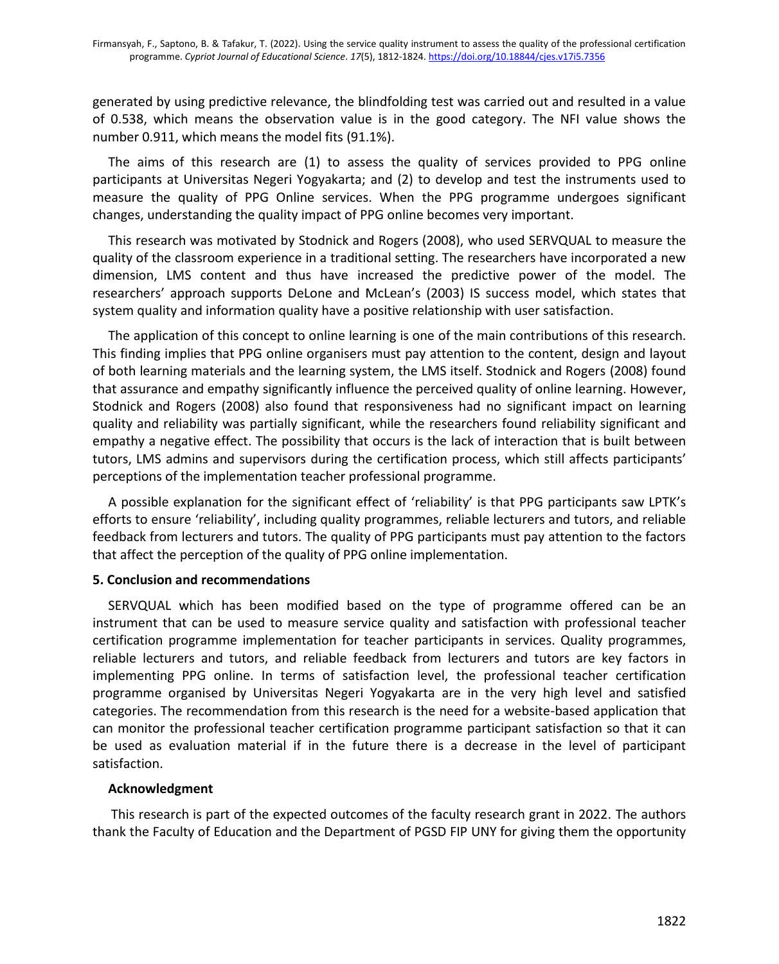generated by using predictive relevance, the blindfolding test was carried out and resulted in a value of 0.538, which means the observation value is in the good category. The NFI value shows the number 0.911, which means the model fits (91.1%).

The aims of this research are (1) to assess the quality of services provided to PPG online participants at Universitas Negeri Yogyakarta; and (2) to develop and test the instruments used to measure the quality of PPG Online services. When the PPG programme undergoes significant changes, understanding the quality impact of PPG online becomes very important.

This research was motivated by Stodnick and Rogers (2008), who used SERVQUAL to measure the quality of the classroom experience in a traditional setting. The researchers have incorporated a new dimension, LMS content and thus have increased the predictive power of the model. The researchers' approach supports DeLone and McLean's (2003) IS success model, which states that system quality and information quality have a positive relationship with user satisfaction.

The application of this concept to online learning is one of the main contributions of this research. This finding implies that PPG online organisers must pay attention to the content, design and layout of both learning materials and the learning system, the LMS itself. Stodnick and Rogers (2008) found that assurance and empathy significantly influence the perceived quality of online learning. However, Stodnick and Rogers (2008) also found that responsiveness had no significant impact on learning quality and reliability was partially significant, while the researchers found reliability significant and empathy a negative effect. The possibility that occurs is the lack of interaction that is built between tutors, LMS admins and supervisors during the certification process, which still affects participants' perceptions of the implementation teacher professional programme.

A possible explanation for the significant effect of 'reliability' is that PPG participants saw LPTK's efforts to ensure 'reliability', including quality programmes, reliable lecturers and tutors, and reliable feedback from lecturers and tutors. The quality of PPG participants must pay attention to the factors that affect the perception of the quality of PPG online implementation.

#### **5. Conclusion and recommendations**

SERVQUAL which has been modified based on the type of programme offered can be an instrument that can be used to measure service quality and satisfaction with professional teacher certification programme implementation for teacher participants in services. Quality programmes, reliable lecturers and tutors, and reliable feedback from lecturers and tutors are key factors in implementing PPG online. In terms of satisfaction level, the professional teacher certification programme organised by Universitas Negeri Yogyakarta are in the very high level and satisfied categories. The recommendation from this research is the need for a website-based application that can monitor the professional teacher certification programme participant satisfaction so that it can be used as evaluation material if in the future there is a decrease in the level of participant satisfaction.

#### **Acknowledgment**

This research is part of the expected outcomes of the faculty research grant in 2022. The authors thank the Faculty of Education and the Department of PGSD FIP UNY for giving them the opportunity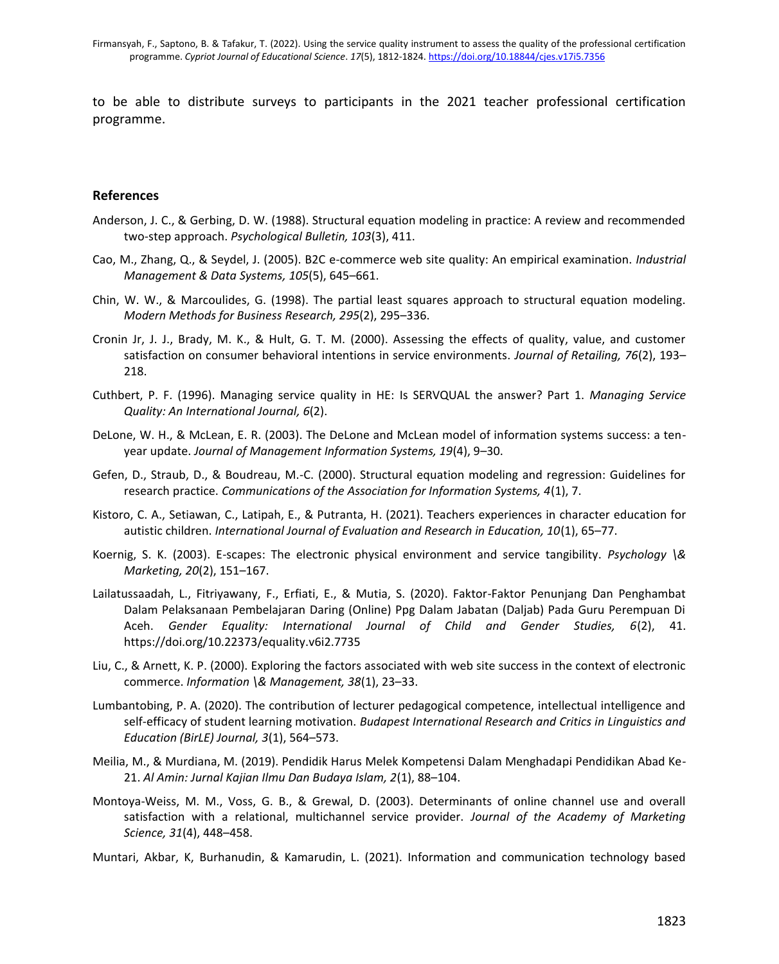to be able to distribute surveys to participants in the 2021 teacher professional certification programme.

#### **References**

- Anderson, J. C., & Gerbing, D. W. (1988). Structural equation modeling in practice: A review and recommended two-step approach. *Psychological Bulletin, 103*(3), 411.
- Cao, M., Zhang, Q., & Seydel, J. (2005). B2C e-commerce web site quality: An empirical examination. *Industrial Management & Data Systems, 105*(5), 645–661.
- Chin, W. W., & Marcoulides, G. (1998). The partial least squares approach to structural equation modeling. *Modern Methods for Business Research, 295*(2), 295–336.
- Cronin Jr, J. J., Brady, M. K., & Hult, G. T. M. (2000). Assessing the effects of quality, value, and customer satisfaction on consumer behavioral intentions in service environments. *Journal of Retailing, 76*(2), 193– 218.
- Cuthbert, P. F. (1996). Managing service quality in HE: Is SERVQUAL the answer? Part 1. *Managing Service Quality: An International Journal, 6*(2).
- DeLone, W. H., & McLean, E. R. (2003). The DeLone and McLean model of information systems success: a tenyear update. *Journal of Management Information Systems, 19*(4), 9–30.
- Gefen, D., Straub, D., & Boudreau, M.-C. (2000). Structural equation modeling and regression: Guidelines for research practice. *Communications of the Association for Information Systems, 4*(1), 7.
- Kistoro, C. A., Setiawan, C., Latipah, E., & Putranta, H. (2021). Teachers experiences in character education for autistic children. *International Journal of Evaluation and Research in Education, 10*(1), 65–77.
- Koernig, S. K. (2003). E-scapes: The electronic physical environment and service tangibility. *Psychology \& Marketing, 20*(2), 151–167.
- Lailatussaadah, L., Fitriyawany, F., Erfiati, E., & Mutia, S. (2020). Faktor-Faktor Penunjang Dan Penghambat Dalam Pelaksanaan Pembelajaran Daring (Online) Ppg Dalam Jabatan (Daljab) Pada Guru Perempuan Di Aceh. *Gender Equality: International Journal of Child and Gender Studies, 6*(2), 41. https://doi.org/10.22373/equality.v6i2.7735
- Liu, C., & Arnett, K. P. (2000). Exploring the factors associated with web site success in the context of electronic commerce. *Information \& Management, 38*(1), 23–33.
- Lumbantobing, P. A. (2020). The contribution of lecturer pedagogical competence, intellectual intelligence and self-efficacy of student learning motivation. *Budapest International Research and Critics in Linguistics and Education (BirLE) Journal, 3*(1), 564–573.
- Meilia, M., & Murdiana, M. (2019). Pendidik Harus Melek Kompetensi Dalam Menghadapi Pendidikan Abad Ke-21. *Al Amin: Jurnal Kajian Ilmu Dan Budaya Islam, 2*(1), 88–104.
- Montoya-Weiss, M. M., Voss, G. B., & Grewal, D. (2003). Determinants of online channel use and overall satisfaction with a relational, multichannel service provider. *Journal of the Academy of Marketing Science, 31*(4), 448–458.
- Muntari, Akbar, K, Burhanudin, & Kamarudin, L. (2021). Information and communication technology based